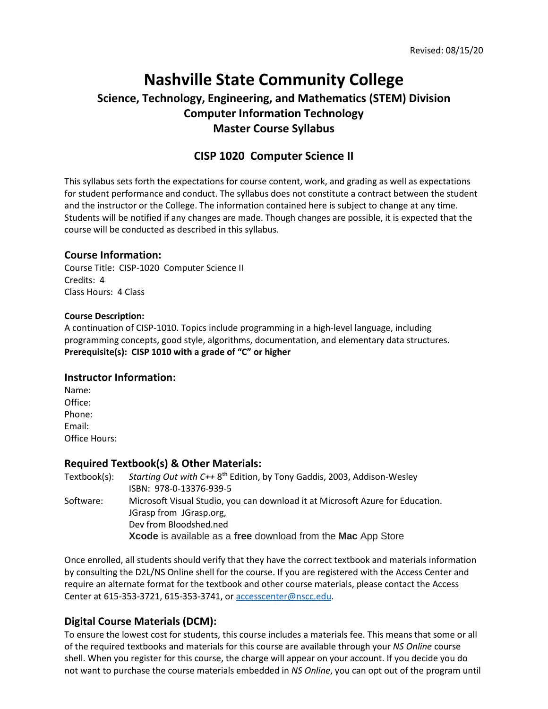# **Nashville State Community College Science, Technology, Engineering, and Mathematics (STEM) Division Computer Information Technology Master Course Syllabus**

# **CISP 1020 Computer Science II**

This syllabus sets forth the expectations for course content, work, and grading as well as expectations for student performance and conduct. The syllabus does not constitute a contract between the student and the instructor or the College. The information contained here is subject to change at any time. Students will be notified if any changes are made. Though changes are possible, it is expected that the course will be conducted as described in this syllabus.

#### **Course Information:**

Course Title: CISP-1020 Computer Science II Credits: 4 Class Hours: 4 Class

#### **Course Description:**

A continuation of CISP-1010. Topics include programming in a high-level language, including programming concepts, good style, algorithms, documentation, and elementary data structures. **Prerequisite(s): CISP 1010 with a grade of "C" or higher**

#### **Instructor Information:**

Name: Office: Phone: Email: Office Hours:

### **Required Textbook(s) & Other Materials:**

| Textbook(s): | Starting Out with C++ 8 <sup>th</sup> Edition, by Tony Gaddis, 2003, Addison-Wesley |  |
|--------------|-------------------------------------------------------------------------------------|--|
|              | ISBN: 978-0-13376-939-5                                                             |  |
| Software:    | Microsoft Visual Studio, you can download it at Microsoft Azure for Education.      |  |
|              | JGrasp from JGrasp.org,                                                             |  |
|              | Dev from Bloodshed.ned                                                              |  |
|              | Xcode is available as a free download from the Mac App Store                        |  |
|              |                                                                                     |  |

Once enrolled, all students should verify that they have the correct textbook and materials information by consulting the D2L/NS Online shell for the course. If you are registered with the Access Center and require an alternate format for the textbook and other course materials, please contact the Access Center at 615-353-3721, 615-353-3741, o[r accesscenter@nscc.edu.](mailto:accesscenter@nscc.edu)

# **Digital Course Materials (DCM):**

To ensure the lowest cost for students, this course includes a materials fee. This means that some or all of the required textbooks and materials for this course are available through your *NS Online* course shell. When you register for this course, the charge will appear on your account. If you decide you do not want to purchase the course materials embedded in *NS Online*, you can opt out of the program until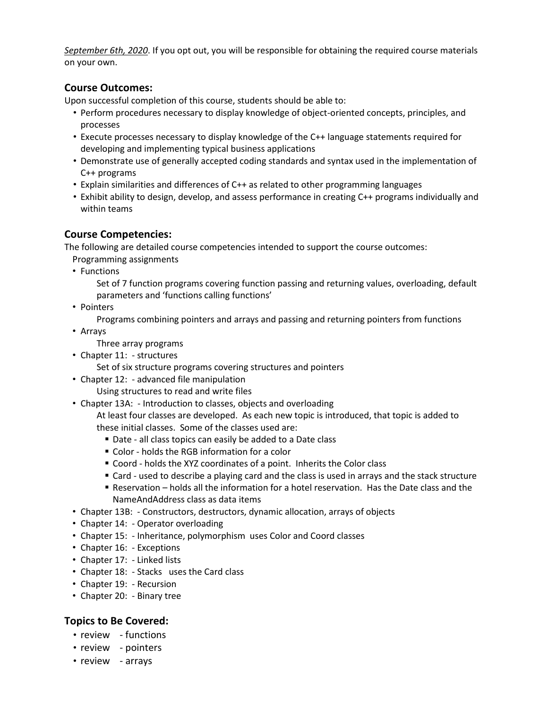*September 6th, 2020*. If you opt out, you will be responsible for obtaining the required course materials on your own.

# **Course Outcomes:**

Upon successful completion of this course, students should be able to:

- Perform procedures necessary to display knowledge of object-oriented concepts, principles, and processes
- Execute processes necessary to display knowledge of the C++ language statements required for developing and implementing typical business applications
- Demonstrate use of generally accepted coding standards and syntax used in the implementation of C++ programs
- Explain similarities and differences of C++ as related to other programming languages
- Exhibit ability to design, develop, and assess performance in creating C++ programs individually and within teams

# **Course Competencies:**

The following are detailed course competencies intended to support the course outcomes:

Programming assignments

• Functions

Set of 7 function programs covering function passing and returning values, overloading, default parameters and 'functions calling functions'

• Pointers

Programs combining pointers and arrays and passing and returning pointers from functions

• Arrays

Three array programs

- Chapter 11: structures
	- Set of six structure programs covering structures and pointers
- Chapter 12: advanced file manipulation
	- Using structures to read and write files
- Chapter 13A: Introduction to classes, objects and overloading

At least four classes are developed. As each new topic is introduced, that topic is added to these initial classes. Some of the classes used are:

- Date all class topics can easily be added to a Date class
- Color holds the RGB information for a color
- Coord holds the XYZ coordinates of a point. Inherits the Color class
- Card used to describe a playing card and the class is used in arrays and the stack structure
- Reservation holds all the information for a hotel reservation. Has the Date class and the NameAndAddress class as data items
- Chapter 13B: Constructors, destructors, dynamic allocation, arrays of objects
- Chapter 14: Operator overloading
- Chapter 15: Inheritance, polymorphism uses Color and Coord classes
- Chapter 16: Exceptions
- Chapter 17: Linked lists
- Chapter 18: Stacks uses the Card class
- Chapter 19: Recursion
- Chapter 20: Binary tree

# **Topics to Be Covered:**

- review functions
- review pointers
- review arrays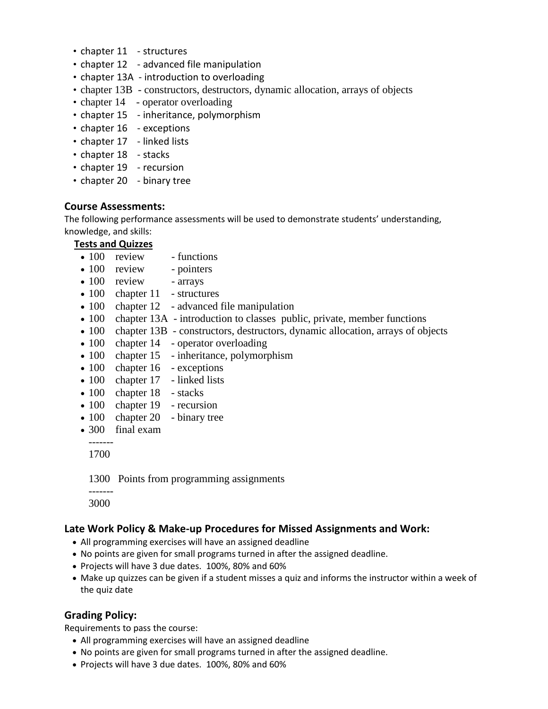- chapter 11 structures
- chapter 12 advanced file manipulation
- chapter 13A introduction to overloading
- chapter 13B constructors, destructors, dynamic allocation, arrays of objects
- chapter 14 operator overloading
- chapter 15 inheritance, polymorphism
- chapter 16 exceptions
- chapter 17 linked lists
- chapter 18 stacks
- chapter 19 recursion
- chapter 20 binary tree

#### **Course Assessments:**

The following performance assessments will be used to demonstrate students' understanding, knowledge, and skills:

#### **Tests and Quizzes**

- 100 review functions
- 100 review pointers
- 100 review arrays
- 100 chapter 11 structures
- 100 chapter 12 advanced file manipulation
- 100 chapter 13A introduction to classes public, private, member functions
- 100 chapter 13B constructors, destructors, dynamic allocation, arrays of objects
- 100 chapter 14 operator overloading
- 100 chapter 15 inheritance, polymorphism
- 100 chapter 16 exceptions
- 100 chapter 17 linked lists
- 100 chapter 18 stacks
- 100 chapter 19 recursion
- 100 chapter 20 binary tree
- 300 final exam

1700

1300 Points from programming assignments

 ------- 3000

### **Late Work Policy & Make-up Procedures for Missed Assignments and Work:**

- All programming exercises will have an assigned deadline
- No points are given for small programs turned in after the assigned deadline.
- Projects will have 3 due dates. 100%, 80% and 60%
- Make up quizzes can be given if a student misses a quiz and informs the instructor within a week of the quiz date

# **Grading Policy:**

Requirements to pass the course:

- All programming exercises will have an assigned deadline
- No points are given for small programs turned in after the assigned deadline.
- Projects will have 3 due dates. 100%, 80% and 60%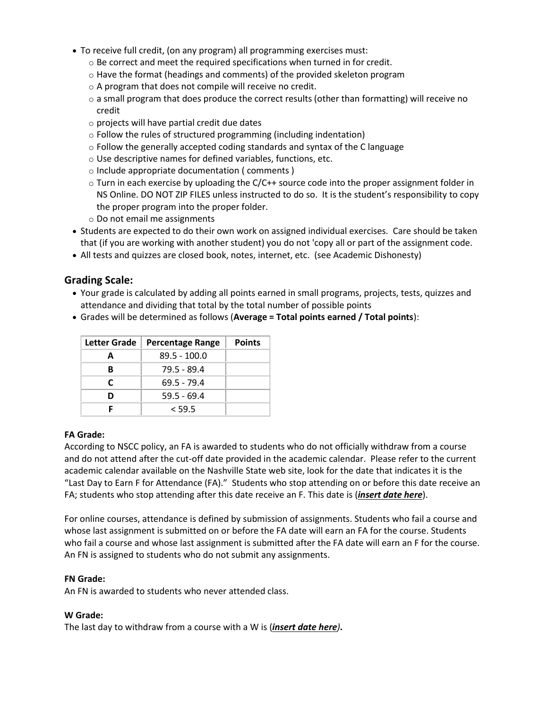- To receive full credit, (on any program) all programming exercises must:
	- o Be correct and meet the required specifications when turned in for credit.
	- $\circ$  Have the format (headings and comments) of the provided skeleton program
	- o A program that does not compile will receive no credit.
	- $\circ$  a small program that does produce the correct results (other than formatting) will receive no credit
	- o projects will have partial credit due dates
	- o Follow the rules of structured programming (including indentation)
	- o Follow the generally accepted coding standards and syntax of the C language
	- o Use descriptive names for defined variables, functions, etc.
	- o Include appropriate documentation ( comments )
	- $\circ$  Turn in each exercise by uploading the C/C++ source code into the proper assignment folder in NS Online. DO NOT ZIP FILES unless instructed to do so. It is the student's responsibility to copy the proper program into the proper folder.
	- o Do not email me assignments
- Students are expected to do their own work on assigned individual exercises. Care should be taken that (if you are working with another student) you do not 'copy all or part of the assignment code.
- All tests and quizzes are closed book, notes, internet, etc. (see Academic Dishonesty)

### **Grading Scale:**

- Your grade is calculated by adding all points earned in small programs, projects, tests, quizzes and attendance and dividing that total by the total number of possible points
- Grades will be determined as follows (**Average = Total points earned / Total points**):

| Letter Grade | <b>Percentage Range</b> | <b>Points</b> |
|--------------|-------------------------|---------------|
| А            | 89.5 - 100.0            |               |
| B            | $79.5 - 89.4$           |               |
| C            | 69.5 - 79.4             |               |
| n            | $59.5 - 69.4$           |               |
|              | < 59.5                  |               |

#### **FA Grade:**

According to NSCC policy, an FA is awarded to students who do not officially withdraw from a course and do not attend after the cut-off date provided in the academic calendar. Please refer to the current academic calendar available on the Nashville State web site, look for the date that indicates it is the "Last Day to Earn F for Attendance (FA)." Students who stop attending on or before this date receive an FA; students who stop attending after this date receive an F. This date is (*insert date here*).

For online courses, attendance is defined by submission of assignments. Students who fail a course and whose last assignment is submitted on or before the FA date will earn an FA for the course. Students who fail a course and whose last assignment is submitted after the FA date will earn an F for the course. An FN is assigned to students who do not submit any assignments.

#### **FN Grade:**

An FN is awarded to students who never attended class.

#### **W Grade:**

The last day to withdraw from a course with a W is (*insert date here)***.**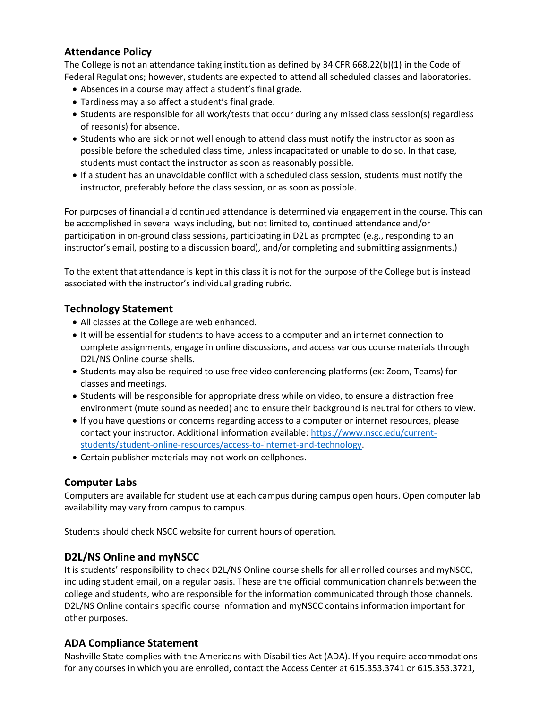# **Attendance Policy**

The College is not an attendance taking institution as defined by 34 CFR 668.22(b)(1) in the Code of Federal Regulations; however, students are expected to attend all scheduled classes and laboratories.

- Absences in a course may affect a student's final grade.
- Tardiness may also affect a student's final grade.
- Students are responsible for all work/tests that occur during any missed class session(s) regardless of reason(s) for absence.
- Students who are sick or not well enough to attend class must notify the instructor as soon as possible before the scheduled class time, unless incapacitated or unable to do so. In that case, students must contact the instructor as soon as reasonably possible.
- If a student has an unavoidable conflict with a scheduled class session, students must notify the instructor, preferably before the class session, or as soon as possible.

For purposes of financial aid continued attendance is determined via engagement in the course. This can be accomplished in several ways including, but not limited to, continued attendance and/or participation in on-ground class sessions, participating in D2L as prompted (e.g., responding to an instructor's email, posting to a discussion board), and/or completing and submitting assignments.)

To the extent that attendance is kept in this class it is not for the purpose of the College but is instead associated with the instructor's individual grading rubric.

### **Technology Statement**

- All classes at the College are web enhanced.
- It will be essential for students to have access to a computer and an internet connection to complete assignments, engage in online discussions, and access various course materials through D2L/NS Online course shells.
- Students may also be required to use free video conferencing platforms (ex: Zoom, Teams) for classes and meetings.
- Students will be responsible for appropriate dress while on video, to ensure a distraction free environment (mute sound as needed) and to ensure their background is neutral for others to view.
- If you have questions or concerns regarding access to a computer or internet resources, please contact your instructor. Additional information available: [https://www.nscc.edu/current](https://www.nscc.edu/current-students/student-online-resources/access-to-internet-and-technology)[students/student-online-resources/access-to-internet-and-technology.](https://www.nscc.edu/current-students/student-online-resources/access-to-internet-and-technology)
- Certain publisher materials may not work on cellphones.

### **Computer Labs**

Computers are available for student use at each campus during campus open hours. Open computer lab availability may vary from campus to campus.

Students should check NSCC website for current hours of operation.

### **D2L/NS Online and myNSCC**

It is students' responsibility to check D2L/NS Online course shells for all enrolled courses and myNSCC, including student email, on a regular basis. These are the official communication channels between the college and students, who are responsible for the information communicated through those channels. D2L/NS Online contains specific course information and myNSCC contains information important for other purposes.

### **ADA Compliance Statement**

Nashville State complies with the Americans with Disabilities Act (ADA). If you require accommodations for any courses in which you are enrolled, contact the Access Center at 615.353.3741 or 615.353.3721,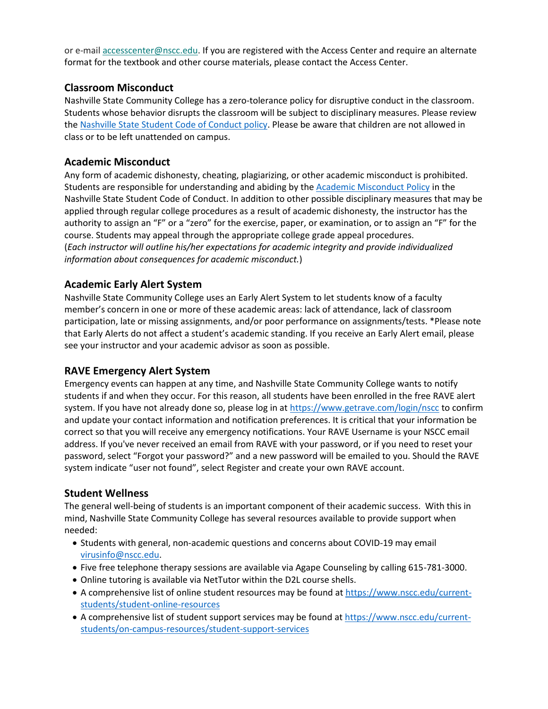or e-mail [accesscenter@nscc.edu.](mailto:%3Caccesscenter@nscc.edu%3E) If you are registered with the Access Center and require an alternate format for the textbook and other course materials, please contact the Access Center.

# **Classroom Misconduct**

Nashville State Community College has a zero-tolerance policy for disruptive conduct in the classroom. Students whose behavior disrupts the classroom will be subject to disciplinary measures. Please review th[e Nashville State Student Code of Conduct policy.](https://s3.amazonaws.com/nscc.edu/PDFs/dean-students/Student_Code_of_Conduct_Policy.pdf) Please be aware that children are not allowed in class or to be left unattended on campus.

# **Academic Misconduct**

Any form of academic dishonesty, cheating, plagiarizing, or other academic misconduct is prohibited. Students are responsible for understanding and abiding by the [Academic Misconduct Policy](https://s3.amazonaws.com/nscc.edu/PDFs/dean-students/Student_Code_of_Conduct_Policy.pdf) in the Nashville State Student Code of Conduct. In addition to other possible disciplinary measures that may be applied through regular college procedures as a result of academic dishonesty, the instructor has the authority to assign an "F" or a "zero" for the exercise, paper, or examination, or to assign an "F" for the course. Students may appeal through the appropriate college grade appeal procedures. (*Each instructor will outline his/her expectations for academic integrity and provide individualized information about consequences for academic misconduct.*)

# **Academic Early Alert System**

Nashville State Community College uses an Early Alert System to let students know of a faculty member's concern in one or more of these academic areas: lack of attendance, lack of classroom participation, late or missing assignments, and/or poor performance on assignments/tests. \*Please note that Early Alerts do not affect a student's academic standing. If you receive an Early Alert email, please see your instructor and your academic advisor as soon as possible.

# **RAVE Emergency Alert System**

Emergency events can happen at any time, and Nashville State Community College wants to notify students if and when they occur. For this reason, all students have been enrolled in the free RAVE alert system. If you have not already done so, please log in at<https://www.getrave.com/login/nscc> to confirm and update your contact information and notification preferences. It is critical that your information be correct so that you will receive any emergency notifications. Your RAVE Username is your NSCC email address. If you've never received an email from RAVE with your password, or if you need to reset your password, select "Forgot your password?" and a new password will be emailed to you. Should the RAVE system indicate "user not found", select Register and create your own RAVE account.

# **Student Wellness**

The general well-being of students is an important component of their academic success. With this in mind, Nashville State Community College has several resources available to provide support when needed:

- Students with general, non-academic questions and concerns about COVID-19 may email [virusinfo@nscc.edu.](mailto:virusinfo@nscc.edu)
- Five free telephone therapy sessions are available via Agape Counseling by calling 615-781-3000.
- Online tutoring is available via NetTutor within the D2L course shells.
- A comprehensive list of online student resources may be found at [https://www.nscc.edu/current](https://www.nscc.edu/current-students/student-online-resources)[students/student-online-resources](https://www.nscc.edu/current-students/student-online-resources)
- A comprehensive list of student support services may be found at [https://www.nscc.edu/current](https://www.nscc.edu/current-students/on-campus-resources/student-support-services)[students/on-campus-resources/student-support-services](https://www.nscc.edu/current-students/on-campus-resources/student-support-services)